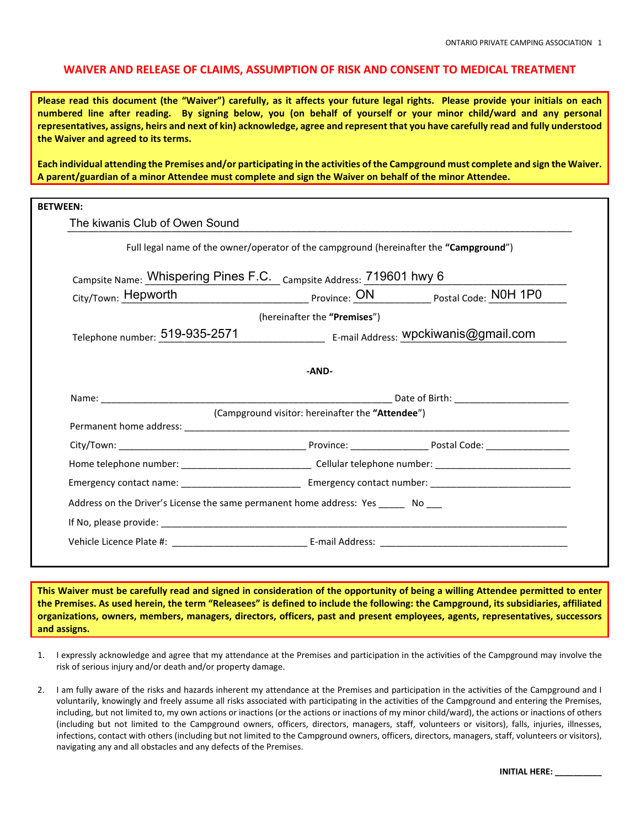## **WAIVER AND RELEASE OF CLAIMS, ASSUMPTION OF RISK AND CONSENT TO MEDICAL TREATMENT**

**Please read this document (the "Waiver") carefully, as it affects your future legal rights. Please provide your initials on each numbered line after reading. By signing below, you (on behalf of yourself or your minor child/ward and any personal representatives, assigns, heirs and next of kin) acknowledge, agree and represent that you have carefully read and fully understood the Waiver and agreed to its terms.**

**Each individual attending the Premises and/or participating in the activities of the Campground must complete and sign the Waiver. A parent/guardian of a minor Attendee must complete and sign the Waiver on behalf of the minor Attendee.** 

| <b>BETWEEN:</b>                                                                           |                                                                                                                                                                                                                                |  |  |
|-------------------------------------------------------------------------------------------|--------------------------------------------------------------------------------------------------------------------------------------------------------------------------------------------------------------------------------|--|--|
| The kiwanis Club of Owen Sound                                                            |                                                                                                                                                                                                                                |  |  |
|                                                                                           | Full legal name of the owner/operator of the campground (hereinafter the "Campground")                                                                                                                                         |  |  |
| <sub>Campsite Name:</sub> Whispering Pines F.C. <sub>Campsite Address:</sub> 719601 hwy 6 |                                                                                                                                                                                                                                |  |  |
| City/Town: Hepworth                                                                       | Province: ON Protal Code: NOH 1PO                                                                                                                                                                                              |  |  |
|                                                                                           | (hereinafter the "Premises")                                                                                                                                                                                                   |  |  |
| Telephone number: 519-935-2571                                                            | ___________________ E-mail Address: Wpckiwanis@gmail.com                                                                                                                                                                       |  |  |
|                                                                                           | -AND-                                                                                                                                                                                                                          |  |  |
| (Campground visitor: hereinafter the "Attendee")                                          |                                                                                                                                                                                                                                |  |  |
|                                                                                           |                                                                                                                                                                                                                                |  |  |
|                                                                                           |                                                                                                                                                                                                                                |  |  |
|                                                                                           |                                                                                                                                                                                                                                |  |  |
|                                                                                           |                                                                                                                                                                                                                                |  |  |
| Address on the Driver's License the same permanent home address: Yes ______ No ___        |                                                                                                                                                                                                                                |  |  |
|                                                                                           | If No, please provide: the contract of the contract of the contract of the contract of the contract of the contract of the contract of the contract of the contract of the contract of the contract of the contract of the con |  |  |
|                                                                                           |                                                                                                                                                                                                                                |  |  |

**This Waiver must be carefully read and signed in consideration of the opportunity of being a willing Attendee permitted to enter the Premises. As used herein, the term "Releasees" is defined to include the following: the Campground, its subsidiaries, affiliated organizations, owners, members, managers, directors, officers, past and present employees, agents, representatives, successors and assigns.**

- 1. I expressly acknowledge and agree that my attendance at the Premises and participation in the activities of the Campground may involve the risk of serious injury and/or death and/or property damage.
- 2. I am fully aware of the risks and hazards inherent my attendance at the Premises and participation in the activities of the Campground and I voluntarily, knowingly and freely assume all risks associated with participating in the activities of the Campground and entering the Premises, including, but not limited to, my own actions or inactions (or the actions or inactions of my minor child/ward), the actions or inactions of others (including but not limited to the Campground owners, officers, directors, managers, staff, volunteers or visitors), falls, injuries, illnesses, infections, contact with others (including but not limited to the Campground owners, officers, directors, managers, staff, volunteers or visitors), navigating any and all obstacles and any defects of the Premises.

**INITIAL HERE: \_\_\_\_\_\_\_\_\_\_**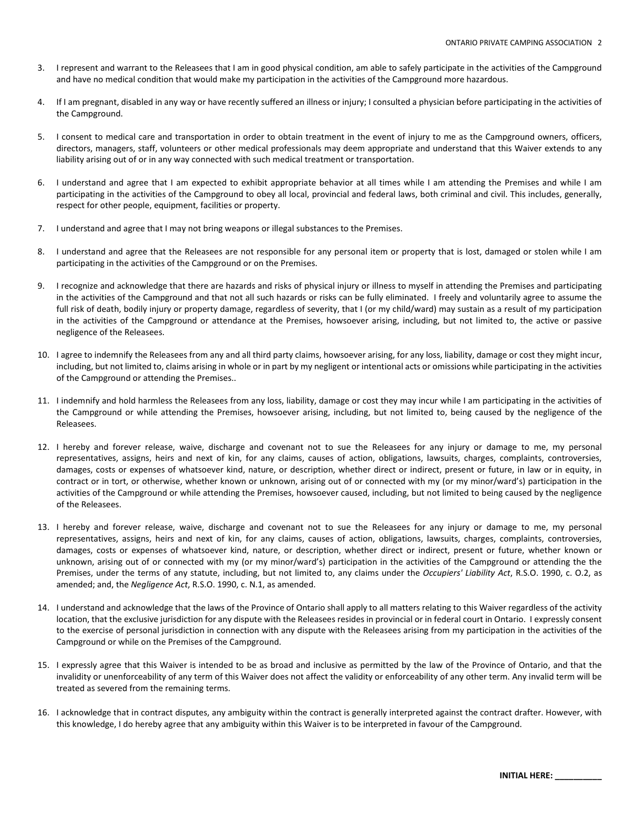- 3. I represent and warrant to the Releasees that I am in good physical condition, am able to safely participate in the activities of the Campground and have no medical condition that would make my participation in the activities of the Campground more hazardous.
- If I am pregnant, disabled in any way or have recently suffered an illness or injury; I consulted a physician before participating in the activities of the Campground.
- 5. I consent to medical care and transportation in order to obtain treatment in the event of injury to me as the Campground owners, officers, directors, managers, staff, volunteers or other medical professionals may deem appropriate and understand that this Waiver extends to any liability arising out of or in any way connected with such medical treatment or transportation.
- 6. I understand and agree that I am expected to exhibit appropriate behavior at all times while I am attending the Premises and while I am participating in the activities of the Campground to obey all local, provincial and federal laws, both criminal and civil. This includes, generally, respect for other people, equipment, facilities or property.
- 7. I understand and agree that I may not bring weapons or illegal substances to the Premises.
- 8. I understand and agree that the Releasees are not responsible for any personal item or property that is lost, damaged or stolen while I am participating in the activities of the Campground or on the Premises.
- 9. I recognize and acknowledge that there are hazards and risks of physical injury or illness to myself in attending the Premises and participating in the activities of the Campground and that not all such hazards or risks can be fully eliminated. I freely and voluntarily agree to assume the full risk of death, bodily injury or property damage, regardless of severity, that I (or my child/ward) may sustain as a result of my participation in the activities of the Campground or attendance at the Premises, howsoever arising, including, but not limited to, the active or passive negligence of the Releasees.
- 10. I agree to indemnify the Releasees from any and all third party claims, howsoever arising, for any loss, liability, damage or cost they might incur, including, but not limited to, claims arising in whole or in part by my negligent or intentional acts or omissions while participating in the activities of the Campground or attending the Premises..
- 11. I indemnify and hold harmless the Releasees from any loss, liability, damage or cost they may incur while I am participating in the activities of the Campground or while attending the Premises, howsoever arising, including, but not limited to, being caused by the negligence of the Releasees.
- 12. I hereby and forever release, waive, discharge and covenant not to sue the Releasees for any injury or damage to me, my personal representatives, assigns, heirs and next of kin, for any claims, causes of action, obligations, lawsuits, charges, complaints, controversies, damages, costs or expenses of whatsoever kind, nature, or description, whether direct or indirect, present or future, in law or in equity, in contract or in tort, or otherwise, whether known or unknown, arising out of or connected with my (or my minor/ward's) participation in the activities of the Campground or while attending the Premises, howsoever caused, including, but not limited to being caused by the negligence of the Releasees.
- 13. I hereby and forever release, waive, discharge and covenant not to sue the Releasees for any injury or damage to me, my personal representatives, assigns, heirs and next of kin, for any claims, causes of action, obligations, lawsuits, charges, complaints, controversies, damages, costs or expenses of whatsoever kind, nature, or description, whether direct or indirect, present or future, whether known or unknown, arising out of or connected with my (or my minor/ward's) participation in the activities of the Campground or attending the the Premises, under the terms of any statute, including, but not limited to, any claims under the *Occupiers' Liability Act*, R.S.O. 1990, c. O.2, as amended; and, the *Negligence Act*, R.S.O. 1990, c. N.1, as amended.
- 14. I understand and acknowledge that the laws of the Province of Ontario shall apply to all matters relating to this Waiver regardless of the activity location, that the exclusive jurisdiction for any dispute with the Releasees resides in provincial or in federal court in Ontario. I expressly consent to the exercise of personal jurisdiction in connection with any dispute with the Releasees arising from my participation in the activities of the Campground or while on the Premises of the Campground.
- 15. I expressly agree that this Waiver is intended to be as broad and inclusive as permitted by the law of the Province of Ontario, and that the invalidity or unenforceability of any term of this Waiver does not affect the validity or enforceability of any other term. Any invalid term will be treated as severed from the remaining terms.
- 16. I acknowledge that in contract disputes, any ambiguity within the contract is generally interpreted against the contract drafter. However, with this knowledge, I do hereby agree that any ambiguity within this Waiver is to be interpreted in favour of the Campground.